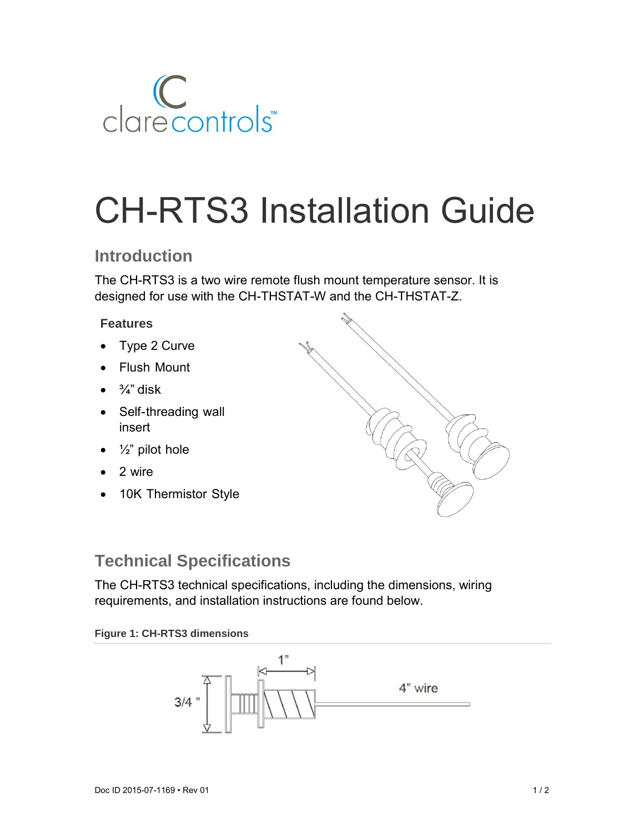

# CH-RTS3 Installation Guide

# **Introduction**

The CH-RTS3 is a two wire remote flush mount temperature sensor. It is designed for use with the CH-THSTAT-W and the CH-THSTAT-Z.

### **Features**

- Type 2 Curve
- Flush Mount
- $\bullet$   $\frac{3}{4}$ " disk
- Self-threading wall insert
- $\bullet$   $\frac{1}{2}$ " pilot hole
- 2 wire
- 10K Thermistor Style



# **Technical Specifications**

The CH-RTS3 technical specifications, including the dimensions, wiring requirements, and installation instructions are found below.

#### **Figure 1: CH-RTS3 dimensions**